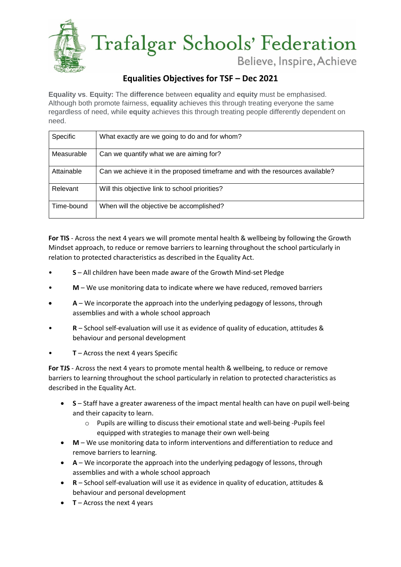

## **Equalities Objectives for TSF – Dec 2021**

**Equality vs**. **Equity:** The **difference** between **equality** and **equity** must be emphasised. Although both promote fairness, **equality** achieves this through treating everyone the same regardless of need, while **equity** achieves this through treating people differently dependent on need.

| <b>Specific</b> | What exactly are we going to do and for whom?                                 |
|-----------------|-------------------------------------------------------------------------------|
| Measurable      | Can we quantify what we are aiming for?                                       |
| Attainable      | Can we achieve it in the proposed timeframe and with the resources available? |
| Relevant        | Will this objective link to school priorities?                                |
| Time-bound      | When will the objective be accomplished?                                      |

**For TIS** - Across the next 4 years we will promote mental health & wellbeing by following the Growth Mindset approach, to reduce or remove barriers to learning throughout the school particularly in relation to protected characteristics as described in the Equality Act.

- **S** All children have been made aware of the Growth Mind-set Pledge
- **M** We use monitoring data to indicate where we have reduced, removed barriers
- **A** We incorporate the approach into the underlying pedagogy of lessons, through assemblies and with a whole school approach
- **R** School self-evaluation will use it as evidence of quality of education, attitudes & behaviour and personal development
- **T** Across the next 4 years Specific

**For TJS** - Across the next 4 years to promote mental health & wellbeing, to reduce or remove barriers to learning throughout the school particularly in relation to protected characteristics as described in the Equality Act.

- **S** Staff have a greater awareness of the impact mental health can have on pupil well-being and their capacity to learn.
	- o Pupils are willing to discuss their emotional state and well-being -Pupils feel equipped with strategies to manage their own well-being
- **M** We use monitoring data to inform interventions and differentiation to reduce and remove barriers to learning*.*
- **A** We incorporate the approach into the underlying pedagogy of lessons, through assemblies and with a whole school approach
- **R** School self-evaluation will use it as evidence in quality of education, attitudes & behaviour and personal development
- **T** Across the next 4 years